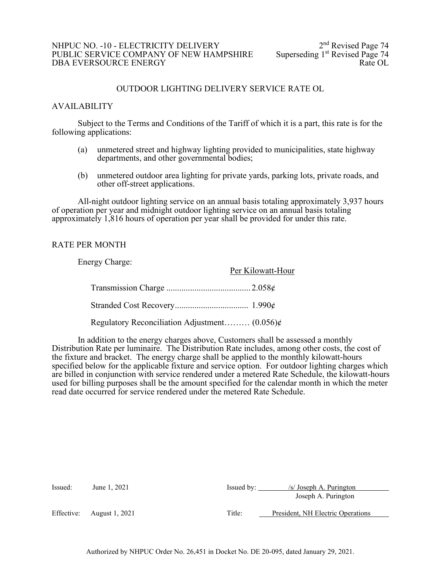## NHPUC NO. -10 - ELECTRICITY DELIVERY 2<sup>nd</sup> Revised Page 74<br>PUBLIC SERVICE COMPANY OF NEW HAMPSHIRE Superseding 1<sup>st</sup> Revised Page 74 PUBLIC SERVICE COMPANY OF NEW HAMPSHIRE Superseding 1<sup>st</sup> Revised Page 74<br>DBA EVERSOURCE ENERGY DBA EVERSOURCE ENERGY

## OUTDOOR LIGHTING DELIVERY SERVICE RATE OL

## AVAILABILITY

Subject to the Terms and Conditions of the Tariff of which it is a part, this rate is for the following applications:

- (a) unmetered street and highway lighting provided to municipalities, state highway departments, and other governmental bodies;
- (b) unmetered outdoor area lighting for private yards, parking lots, private roads, and other off-street applications.

All-night outdoor lighting service on an annual basis totaling approximately 3,937 hours of operation per year and midnight outdoor lighting service on an annual basis totaling approximately 1,816 hours of operation per year shall be provided for under this rate.

## RATE PER MONTH

Energy Charge:

| $\log y$ Charge.                                 | Per Kilowatt-Hour |
|--------------------------------------------------|-------------------|
|                                                  |                   |
|                                                  |                   |
| Regulatory Reconciliation Adjustment $(0.056)$ ¢ |                   |

In addition to the energy charges above, Customers shall be assessed a monthly Distribution Rate per luminaire. The Distribution Rate includes, among other costs, the cost of the fixture and bracket. The energy charge shall be applied to the monthly kilowatt-hours specified below for the applicable fixture and service option. For outdoor lighting charges which are billed in conjunction with service rendered under a metered Rate Schedule, the kilowatt-hours used for billing purposes shall be the amount specified for the calendar month in which the meter read date occurred for service rendered under the metered Rate Schedule.

| Issued: | June 1, 2021              | Issued by: | $\sqrt{s}$ Joseph A. Purington    |
|---------|---------------------------|------------|-----------------------------------|
|         |                           |            | Joseph A. Purington               |
|         | Effective: August 1, 2021 | Title:     | President, NH Electric Operations |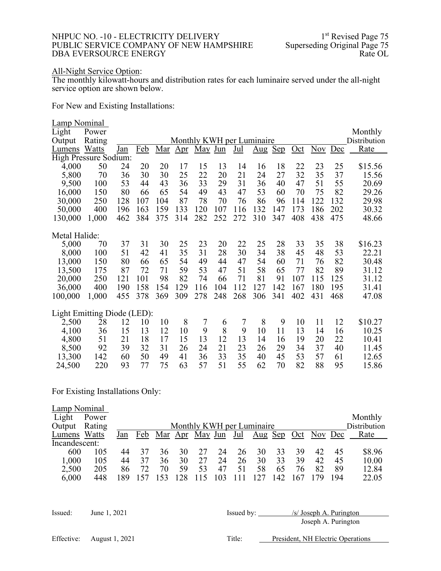## NHPUC NO. -10 - ELECTRICITY DELIVERY PUBLIC SERVICE COMPANY OF NEW HAMPSHIRE DBA EVERSOURCE ENERGY

## All-Night Service Option:

The monthly kilowatt-hours and distribution rates for each luminaire served under the all-night service option are shown below.

For New and Existing Installations:

| <b>Lamp Nominal</b><br>Light<br>Output | Power<br>Rating |            |            |     |         |                |     |       | Monthly KWH per Luminaire |         |       |     |     | Monthly<br>Distribution |
|----------------------------------------|-----------------|------------|------------|-----|---------|----------------|-----|-------|---------------------------|---------|-------|-----|-----|-------------------------|
| Lumens                                 | Watts           | <u>Jan</u> | <u>Feb</u> |     | Mar Apr | <u>May Jun</u> |     | $Jul$ |                           | Aug Sep | $Oct$ | Nov | Dec | Rate                    |
| High Pressure Sodium:                  |                 |            |            |     |         |                |     |       |                           |         |       |     |     |                         |
| 4,000                                  | 50              | 24         | 20         | 20  | 17      | 15             | 13  | 14    | 16                        | 18      | 22    | 23  | 25  | \$15.56                 |
| 5,800                                  | 70              | 36         | 30         | 30  | 25      | 22             | 20  | 21    | 24                        | 27      | 32    | 35  | 37  | 15.56                   |
| 9,500                                  | 100             | 53         | 44         | 43  | 36      | 33             | 29  | 31    | 36                        | 40      | 47    | 51  | 55  | 20.69                   |
| 16,000                                 | 150             | 80         | 66         | 65  | 54      | 49             | 43  | 47    | 53                        | 60      | 70    | 75  | 82  | 29.26                   |
| 30,000                                 | 250             | 128        | 107        | 104 | 87      | 78             | 70  | 76    | 86                        | 96      | 114   | 122 | 132 | 29.98                   |
| 50,000                                 | 400             | 196        | 163        | 159 | 133     | 120            | 107 | 116   | 132                       | 147     | 173   | 186 | 202 | 30.32                   |
| 130,000                                | 1,000           | 462        | 384        | 375 | 314     | 282            | 252 | 272   | 310                       | 347     | 408   | 438 | 475 | 48.66                   |
|                                        |                 |            |            |     |         |                |     |       |                           |         |       |     |     |                         |
| Metal Halide:                          |                 |            |            |     |         |                |     |       |                           |         |       |     |     |                         |
| 5,000                                  | 70              | 37         | 31         | 30  | 25      | 23             | 20  | 22    | 25                        | 28      | 33    | 35  | 38  | \$16.23                 |
| 8,000                                  | 100             | 51         | 42         | 41  | 35      | 31             | 28  | 30    | 34                        | 38      | 45    | 48  | 53  | 22.21                   |
| 13,000                                 | 150             | 80         | 66         | 65  | 54      | 49             | 44  | 47    | 54                        | 60      | 71    | 76  | 82  | 30.48                   |
| 13,500                                 | 175             | 87         | 72         | 71  | 59      | 53             | 47  | 51    | 58                        | 65      | 77    | 82  | 89  | 31.12                   |
| 20,000                                 | 250             | 121        | 101        | 98  | 82      | 74             | 66  | 71    | 81                        | 91      | 107   | 115 | 125 | 31.12                   |
| 36,000                                 | 400             | 190        | 158        | 154 | 129     | 116            | 104 | 112   | 127                       | 142     | 167   | 180 | 195 | 31.41                   |
| 100,000                                | 1,000           | 455        | 378        | 369 | 309     | 278            | 248 | 268   | 306                       | 341     | 402   | 431 | 468 | 47.08                   |
| Light Emitting Diode (LED):            |                 |            |            |     |         |                |     |       |                           |         |       |     |     |                         |
| 2,500                                  | 28              | 12         | 10         | 10  | 8       | 7              | 6   | 7     | 8                         | 9       | 10    | 11  | 12  | \$10.27                 |
| 4,100                                  | 36              | 15         | 13         | 12  | 10      | 9              | 8   | 9     | 10                        | 11      | 13    | 14  | 16  | 10.25                   |
| 4,800                                  | 51              | 21         | 18         | 17  | 15      | 13             | 12  | 13    | 14                        | 16      | 19    | 20  | 22  | 10.41                   |
| 8,500                                  | 92              | 39         | 32         | 31  | 26      | 24             | 21  | 23    | 26                        | 29      | 34    | 37  | 40  | 11.45                   |
| 13,300                                 | 142             | 60         | 50         | 49  | 41      | 36             | 33  | 35    | 40                        | 45      | 53    | 57  | 61  | 12.65                   |
| 24,500                                 | 220             | 93         | 77         | 75  | 63      | 57             | 51  | 55    | 62                        | 70      | 82    | 88  | 95  | 15.86                   |

For Existing Installations Only:

| Lamp Nominal  |        |     |     |                            |    |    |    |    |                           |     |    |                    |     |              |
|---------------|--------|-----|-----|----------------------------|----|----|----|----|---------------------------|-----|----|--------------------|-----|--------------|
| Light         | Power  |     |     |                            |    |    |    |    |                           |     |    |                    |     | Monthly      |
| Output        | Rating |     |     |                            |    |    |    |    | Monthly KWH per Luminaire |     |    |                    |     | Distribution |
| Lumens Watts  |        | Jan | Feb | <u>Mar Apr May Jun Jul</u> |    |    |    |    | <u>Aug Sep</u>            |     |    | <u>Oct</u> Nov Dec |     | Rate         |
| Incandescent: |        |     |     |                            |    |    |    |    |                           |     |    |                    |     |              |
| 600           | 105    | 44  | 37  | 36                         | 30 |    | 24 | 26 | 30                        | 33  | 39 | 42                 | 45  | \$8.96       |
| 1,000         | 105    | 44  | 37  | 36                         | 30 | 27 | 24 | 26 | 30                        | 33  | 39 | 42                 | 45  | 10.00        |
| 2,500         | 205    | 86  | 72  | 70                         | 59 | 53 | 47 | 51 | 58                        | 65  | 76 | 82                 | 89  | 12.84        |
| 6,000         | 448    | 189 |     |                            |    |    |    |    |                           | 142 |    |                    | 194 | 22.05        |

| Issued:    | June 1, 2021   | Issued by: | /s/ Joseph A. Purington           |
|------------|----------------|------------|-----------------------------------|
|            |                |            | Joseph A. Purington               |
| Effective: | August 1, 2021 | Title:     | President, NH Electric Operations |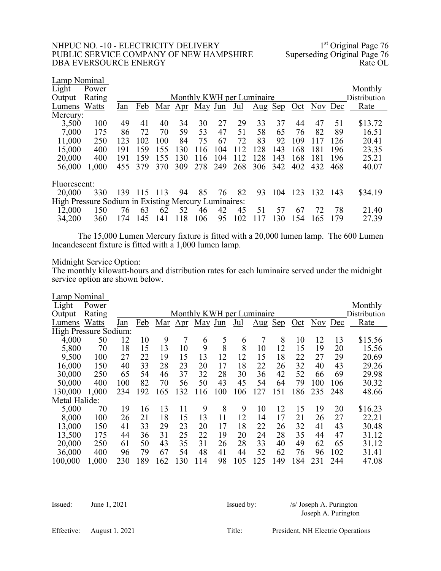## NHPUC NO. -10 - ELECTRICITY DELIVERY 1st Original Page 76<br>PUBLIC SERVICE COMPANY OF NEW HAMPSHIRE Superseding Original Page 76 PUBLIC SERVICE COMPANY OF NEW HAMPSHIRE Superseding Original Page 76<br>DBA EVERSOURCE ENERGY Rate OL DBA EVERSOURCE ENERGY

| Lamp Nominal                                         |        |     |     |     |     |                           |     |     |                                 |     |     |         |     |              |
|------------------------------------------------------|--------|-----|-----|-----|-----|---------------------------|-----|-----|---------------------------------|-----|-----|---------|-----|--------------|
| Light                                                | Power  |     |     |     |     |                           |     |     |                                 |     |     |         |     | Monthly      |
| Output                                               | Rating |     |     |     |     | Monthly KWH per Luminaire |     |     |                                 |     |     |         |     | Distribution |
| Lumens                                               | Watts  | Jan | Feb |     |     | Mar Apr May Jun           |     | Jul | $\frac{\text{Aug}}{\text{Sep}}$ |     | Oct | Nov Dec |     | Rate         |
| Mercury:                                             |        |     |     |     |     |                           |     |     |                                 |     |     |         |     |              |
| 3,500                                                | 100    | 49  | 41  | 40  | 34  | 30                        | 27  | 29  | 33                              | 37  | 44  | 47      | 51  | \$13.72      |
| 7,000                                                | 175    | 86  | 72  | 70  | 59  | 53                        | 47  | 51  | 58                              | 65  | 76  | 82      | 89  | 16.51        |
| 11,000                                               | 250    | 123 | 102 | 100 | 84  | 75                        | 67  | 72  | 83                              | 92  | 109 | 117     | 126 | 20.41        |
| 15,000                                               | 400    | 191 | 159 | 155 | 130 | 116                       | 104 | 112 | 128                             | 143 | 168 | 181     | 196 | 23.35        |
| 20,000                                               | 400    | 191 | 159 | 155 | 130 | 116                       | 104 | 112 | 128                             | 143 | 168 | 181     | 196 | 25.21        |
| 56,000                                               | 1,000  | 455 | 379 | 370 | 309 | 278                       | 249 | 268 | 306                             | 342 | 402 | 432     | 468 | 40.07        |
| Fluorescent:                                         |        |     |     |     |     |                           |     |     |                                 |     |     |         |     |              |
| 20,000                                               | 330    | 139 | 115 | 113 | 94  | 85                        | 76  | 82  | 93                              | 104 | 123 | 132     | 143 | \$34.19      |
| High Pressure Sodium in Existing Mercury Luminaires: |        |     |     |     |     |                           |     |     |                                 |     |     |         |     |              |
| 12,000                                               | 150    | 76  | 63  | 62  | 52  | 46                        | 42  | 45  | 51                              | 57  | 67  | 72      | 78  | 21.40        |
| 34,200                                               | 360    | 174 | 145 | 141 | 118 | 106                       | 95  | 102 |                                 | 130 | 154 | 165     | 179 | 27.39        |

The 15,000 Lumen Mercury fixture is fitted with a 20,000 lumen lamp. The 600 Lumen Incandescent fixture is fitted with a 1,000 lumen lamp.

## Midnight Service Option:

The monthly kilowatt-hours and distribution rates for each luminaire served under the midnight service option are shown below.

| Lamp Nominal          |        |     |     |     |     |         |     |     |                           |            |     |     |     |              |
|-----------------------|--------|-----|-----|-----|-----|---------|-----|-----|---------------------------|------------|-----|-----|-----|--------------|
| Light                 | Power  |     |     |     |     |         |     |     |                           |            |     |     |     | Monthly      |
| Output                | Rating |     |     |     |     |         |     |     | Monthly KWH per Luminaire |            |     |     |     | Distribution |
| Lumens                | Watts  | Jan | Feb | Mar | Apr | May Jun |     | Jul | $\overline{\text{Aug}}$   | <u>Sep</u> | Oct | Nov | Dec | Rate         |
| High Pressure Sodium: |        |     |     |     |     |         |     |     |                           |            |     |     |     |              |
| 4,000                 | 50     | 12  | 10  | 9   | 7   | 6       | 5   | 6   | 7                         | 8          | 10  | 12  | 13  | \$15.56      |
| 5,800                 | 70     | 18  | 15  | 13  | 10  | 9       | 8   | 8   | 10                        | 12         | 15  | 19  | 20  | 15.56        |
| 9,500                 | 100    | 27  | 22  | 19  | 15  | 13      | 12  | 12  | 15                        | 18         | 22  | 27  | 29  | 20.69        |
| 16,000                | 150    | 40  | 33  | 28  | 23  | 20      | 17  | 18  | 22                        | 26         | 32  | 40  | 43  | 29.26        |
| 30,000                | 250    | 65  | 54  | 46  | 37  | 32      | 28  | 30  | 36                        | 42         | 52  | 66  | 69  | 29.98        |
| 50,000                | 400    | 100 | 82  | 70  | 56  | 50      | 43  | 45  | 54                        | 64         | 79  | 100 | 106 | 30.32        |
| 130,000               | 1,000  | 234 | 192 | 165 | 132 | 116     | 100 | 106 | 127                       | 151        | 186 | 235 | 248 | 48.66        |
| Metal Halide:         |        |     |     |     |     |         |     |     |                           |            |     |     |     |              |
| 5,000                 | 70     | 19  | 16  | 13  | 11  | 9       | 8   | 9   | 10                        | 12         | 15  | 19  | 20  | \$16.23      |
| 8,000                 | 100    | 26  | 21  | 18  | 15  | 13      | 11  | 12  | 14                        | 17         | 21  | 26  | 27  | 22.21        |
| 13,000                | 150    | 41  | 33  | 29  | 23  | 20      | 17  | 18  | 22                        | 26         | 32  | 41  | 43  | 30.48        |
| 13,500                | 175    | 44  | 36  | 31  | 25  | 22      | 19  | 20  | 24                        | 28         | 35  | 44  | 47  | 31.12        |
| 20,000                | 250    | 61  | 50  | 43  | 35  | 31      | 26  | 28  | 33                        | 40         | 49  | 62  | 65  | 31.12        |
| 36,000                | 400    | 96  | 79  | 67  | 54  | 48      | 41  | 44  | 52                        | 62         | 76  | 96  | 102 | 31.41        |
| 100,000               | 1,000  | 230 | 189 | 162 | 130 | 114     | 98  | 105 | 125                       | 149        | 184 | 231 | 244 | 47.08        |

Issued: June 1, 2021 Issued by: /s/ Joseph A. Purington Joseph A. Purington Effective: August 1, 2021 Title: President, NH Electric Operations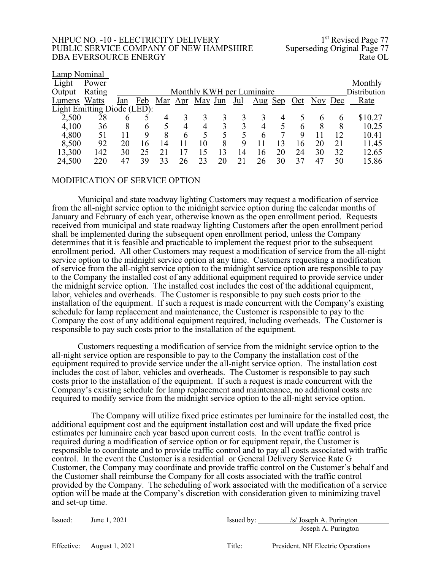NHPUC NO. -10 - ELECTRICITY DELIVERY<br>
PUBLIC SERVICE COMPANY OF NEW HAMPSHIRE Superseding Original Page 77 PUBLIC SERVICE COMPANY OF NEW HAMPSHIRE DBA EVERSOURCE ENERGY Rate OL

| Lamp Nominal<br>Light       | Power  |     |     |         |    |                |                          |       |                           |    |     |         |    | Monthly      |
|-----------------------------|--------|-----|-----|---------|----|----------------|--------------------------|-------|---------------------------|----|-----|---------|----|--------------|
| Output                      | Rating |     |     |         |    |                |                          |       | Monthly KWH per Luminaire |    |     |         |    | Distribution |
| Lumens                      | Watts  | Jan | Feb | Mar Apr |    | <u>May Jun</u> |                          | $Jul$ | <u>Aug Sep</u>            |    | Oct | Nov Dec |    | Rate         |
| Light Emitting Diode (LED): |        |     |     |         |    |                |                          |       |                           |    |     |         |    |              |
| 2,500                       | 28     | 6   |     | 4       |    | 3              |                          |       | 3                         | 4  |     | 6       |    | \$10.27      |
| 4,100                       | 36     | 8   | 6   | 5       | 4  | 4              | 3                        |       | 4                         |    | 6   | 8       | 8  | 10.25        |
| 4,800                       | 51     |     | 9   | 8       | 6  | 5              | $\overline{\mathcal{L}}$ | 5     | 6                         | 7  | 9   | 11      | 12 | 10.41        |
| 8,500                       | 92     | 20  | 16  | 14      |    | 10             | 8                        | 9     |                           | 13 | 16  | 20      | 21 | 11.45        |
| 13,300                      | 142    | 30  | 25  |         |    | 5              | 13                       | 14    | 16                        | 20 | 24  | 30      | 32 | 12.65        |
| 24,500                      | 220    | 47  | 39  | 33      | 26 | 23             | 20                       | 21    | 26                        | 30 | 37  | 47      | 50 | 15.86        |

## MODIFICATION OF SERVICE OPTION

Municipal and state roadway lighting Customers may request a modification of service from the all-night service option to the midnight service option during the calendar months of January and February of each year, otherwise known as the open enrollment period. Requests received from municipal and state roadway lighting Customers after the open enrollment period shall be implemented during the subsequent open enrollment period, unless the Company determines that it is feasible and practicable to implement the request prior to the subsequent enrollment period. All other Customers may request a modification of service from the all-night service option to the midnight service option at any time. Customers requesting a modification of service from the all-night service option to the midnight service option are responsible to pay to the Company the installed cost of any additional equipment required to provide service under the midnight service option. The installed cost includes the cost of the additional equipment, labor, vehicles and overheads. The Customer is responsible to pay such costs prior to the installation of the equipment. If such a request is made concurrent with the Company's existing schedule for lamp replacement and maintenance, the Customer is responsible to pay to the Company the cost of any additional equipment required, including overheads. The Customer is responsible to pay such costs prior to the installation of the equipment.

Customers requesting a modification of service from the midnight service option to the all-night service option are responsible to pay to the Company the installation cost of the equipment required to provide service under the all-night service option. The installation cost includes the cost of labor, vehicles and overheads. The Customer is responsible to pay such costs prior to the installation of the equipment. If such a request is made concurrent with the Company's existing schedule for lamp replacement and maintenance, no additional costs are required to modify service from the midnight service option to the all-night service option.

The Company will utilize fixed price estimates per luminaire for the installed cost, the additional equipment cost and the equipment installation cost and will update the fixed price estimates per luminaire each year based upon current costs. In the event traffic control is required during a modification of service option or for equipment repair, the Customer is responsible to coordinate and to provide traffic control and to pay all costs associated with traffic control. In the event the Customer is a residential or General Delivery Service Rate G Customer, the Company may coordinate and provide traffic control on the Customer's behalf and the Customer shall reimburse the Company for all costs associated with the traffic control provided by the Company. The scheduling of work associated with the modification of a service option will be made at the Company's discretion with consideration given to minimizing travel and set-up time.

| Issued:    | June 1, 2021   | Issued by: | $\sqrt{s}$ Joseph A. Purington    |  |  |  |  |  |
|------------|----------------|------------|-----------------------------------|--|--|--|--|--|
|            |                |            | Joseph A. Purington               |  |  |  |  |  |
| Effective: | August 1, 2021 | Title:     | President, NH Electric Operations |  |  |  |  |  |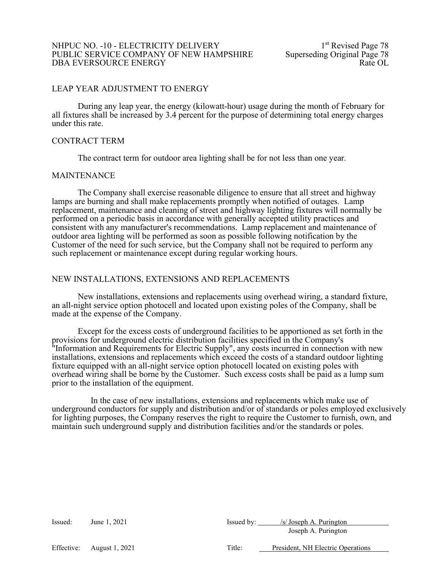#### NHPUC NO. -10 - ELECTRICITY DELIVERY<br>PUBLIC SERVICE COMPANY OF NEW HAMPSHIRE Superseding Original Page 78 PUBLIC SERVICE COMPANY OF NEW HAMPSHIRE Superseding Original Page 78<br>DBA EVERSOURCE ENERGY Rate OL DBA EVERSOURCE ENERGY

## LEAP YEAR ADJUSTMENT TO ENERGY

During any leap year, the energy (kilowatt-hour) usage during the month of February for all fixtures shall be increased by 3.4 percent for the purpose of determining total energy charges under this rate.

## CONTRACT TERM

The contract term for outdoor area lighting shall be for not less than one year.

#### MAINTENANCE

The Company shall exercise reasonable diligence to ensure that all street and highway lamps are burning and shall make replacements promptly when notified of outages. Lamp replacement, maintenance and cleaning of street and highway lighting fixtures will normally be performed on a periodic basis in accordance with generally accepted utility practices and consistent with any manufacturer's recommendations. Lamp replacement and maintenance of outdoor area lighting will be performed as soon as possible following notification by the Customer of the need for such service, but the Company shall not be required to perform any such replacement or maintenance except during regular working hours.

## NEW INSTALLATIONS, EXTENSIONS AND REPLACEMENTS

New installations, extensions and replacements using overhead wiring, a standard fixture, an all-night service option photocell and located upon existing poles of the Company, shall be made at the expense of the Company.

Except for the excess costs of underground facilities to be apportioned as set forth in the provisions for underground electric distribution facilities specified in the Company's "Information and Requirements for Electric Supply", any costs incurred in connection with new installations, extensions and replacements which exceed the costs of a standard outdoor lighting fixture equipped with an all-night service option photocell located on existing poles with overhead wiring shall be borne by the Customer. Such excess costs shall be paid as a lump sum prior to the installation of the equipment.

In the case of new installations, extensions and replacements which make use of underground conductors for supply and distribution and/or of standards or poles employed exclusively for lighting purposes, the Company reserves the right to require the Customer to furnish, own, and maintain such underground supply and distribution facilities and/or the standards or poles.

| Issued:    | June 1, 2021   | Issued by: | $\sqrt{s}$ Joseph A. Purington    |
|------------|----------------|------------|-----------------------------------|
|            |                |            | Joseph A. Purington               |
| Effective: | August 1, 2021 | Title:     | President, NH Electric Operations |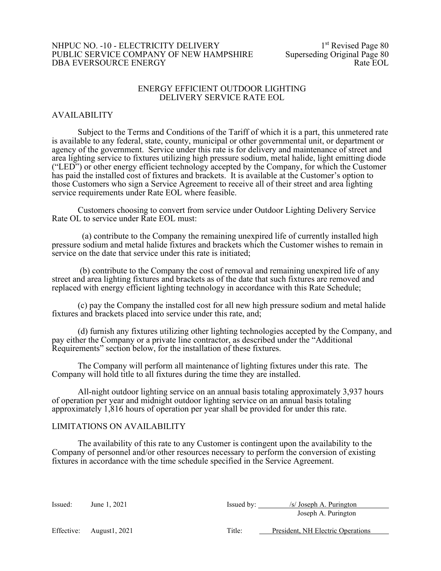#### NHPUC NO. -10 - ELECTRICITY DELIVERY<br>PUBLIC SERVICE COMPANY OF NEW HAMPSHIRE Superseding Original Page 80 PUBLIC SERVICE COMPANY OF NEW HAMPSHIRE Superseding Original Page 80<br>DBA EVERSOURCE ENERGY Rate EOL DBA EVERSOURCE ENERGY

## ENERGY EFFICIENT OUTDOOR LIGHTING DELIVERY SERVICE RATE EOL

## AVAILABILITY

Subject to the Terms and Conditions of the Tariff of which it is a part, this unmetered rate is available to any federal, state, county, municipal or other governmental unit, or department or agency of the government. Service under this rate is for delivery and maintenance of street and area lighting service to fixtures utilizing high pressure sodium, metal halide, light emitting diode ("LED") or other energy efficient technology accepted by the Company, for which the Customer has paid the installed cost of fixtures and brackets. It is available at the Customer's option to those Customers who sign a Service Agreement to receive all of their street and area lighting service requirements under Rate EOL where feasible.

Customers choosing to convert from service under Outdoor Lighting Delivery Service Rate OL to service under Rate EOL must:

 (a) contribute to the Company the remaining unexpired life of currently installed high pressure sodium and metal halide fixtures and brackets which the Customer wishes to remain in service on the date that service under this rate is initiated;

(b) contribute to the Company the cost of removal and remaining unexpired life of any street and area lighting fixtures and brackets as of the date that such fixtures are removed and replaced with energy efficient lighting technology in accordance with this Rate Schedule;

(c) pay the Company the installed cost for all new high pressure sodium and metal halide fixtures and brackets placed into service under this rate, and;

(d) furnish any fixtures utilizing other lighting technologies accepted by the Company, and pay either the Company or a private line contractor, as described under the "Additional Requirements" section below, for the installation of these fixtures.

The Company will perform all maintenance of lighting fixtures under this rate. The Company will hold title to all fixtures during the time they are installed.

All-night outdoor lighting service on an annual basis totaling approximately 3,937 hours of operation per year and midnight outdoor lighting service on an annual basis totaling approximately 1,816 hours of operation per year shall be provided for under this rate.

## LIMITATIONS ON AVAILABILITY

The availability of this rate to any Customer is contingent upon the availability to the Company of personnel and/or other resources necessary to perform the conversion of existing fixtures in accordance with the time schedule specified in the Service Agreement.

| Issued: | June 1, 2021             | Issued by: | /s/ Joseph A. Purington           |
|---------|--------------------------|------------|-----------------------------------|
|         |                          |            | Joseph A. Purington               |
|         | Effective: August1, 2021 | Title:     | President, NH Electric Operations |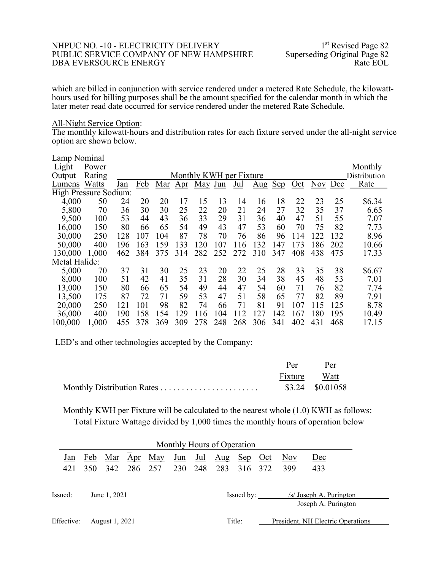#### NHPUC NO. -10 - ELECTRICITY DELIVERY<br>
PUBLIC SERVICE COMPANY OF NEW HAMPSHIRE Superseding Original Page 82 PUBLIC SERVICE COMPANY OF NEW HAMPSHIRE Superseding Original Page 82<br>DBA EVERSOURCE ENERGY Rate EOL DBA EVERSOURCE ENERGY

which are billed in conjunction with service rendered under a metered Rate Schedule, the kilowatt-<br>hours used for billing purposes shall be the amount specified for the calendar month in which the later meter read date occurred for service rendered under the metered Rate Schedule.

## All-Night Service Option:

The monthly kilowatt-hours and distribution rates for each fixture served under the all-night service option are shown below.

| Lamp Nominal          |        |     |     |     |     |     |                         |     |                                 |            |     |            |     |              |
|-----------------------|--------|-----|-----|-----|-----|-----|-------------------------|-----|---------------------------------|------------|-----|------------|-----|--------------|
| Light                 | Power  |     |     |     |     |     |                         |     |                                 |            |     |            |     | Monthly      |
| Output                | Rating |     |     |     |     |     | Monthly KWH per Fixture |     |                                 |            |     |            |     | Distribution |
| Lumens                | Watts  | Jan | Feb | Mar | Apr | May | Jun                     | Jul | $\frac{\text{Aug}}{\text{Aug}}$ | <u>Sep</u> | Oct | <b>Nov</b> | Dec | Rate         |
| High Pressure Sodium: |        |     |     |     |     |     |                         |     |                                 |            |     |            |     |              |
| 4,000                 | 50     | 24  | 20  | 20  | 17  | 15  | 13                      | 14  | 16                              | 18         | 22  | 23         | 25  | \$6.34       |
| 5,800                 | 70     | 36  | 30  | 30  | 25  | 22  | 20                      | 21  | 24                              | 27         | 32  | 35         | 37  | 6.65         |
| 9,500                 | 100    | 53  | 44  | 43  | 36  | 33  | 29                      | 31  | 36                              | 40         | 47  | 51         | 55  | 7.07         |
| 16,000                | 150    | 80  | 66  | 65  | 54  | 49  | 43                      | 47  | 53                              | 60         | 70  | 75         | 82  | 7.73         |
| 30,000                | 250    | 128 | 107 | 104 | 87  | 78  | 70                      | 76  | 86                              | 96         | 114 | 122        | 132 | 8.96         |
| 50,000                | 400    | 196 | 163 | 159 | 133 | 120 | 107                     | 116 | 132                             | 147        | 173 | 186        | 202 | 10.66        |
| 130,000               | 1,000  | 462 | 384 | 375 | 314 | 282 | 252                     | 272 | 310                             | 347        | 408 | 438        | 475 | 17.33        |
| Metal Halide:         |        |     |     |     |     |     |                         |     |                                 |            |     |            |     |              |
| 5,000                 | 70     | 37  | 31  | 30  | 25  | 23  | 20                      | 22  | 25                              | 28         | 33  | 35         | 38  | \$6.67       |
| 8,000                 | 100    | 51  | 42  | 41  | 35  | 31  | 28                      | 30  | 34                              | 38         | 45  | 48         | 53  | 7.01         |
| 13,000                | 150    | 80  | 66  | 65  | 54  | 49  | 44                      | 47  | 54                              | 60         | 71  | 76         | 82  | 7.74         |
| 13,500                | 175    | 87  | 72  | 71  | 59  | 53  | 47                      | 51  | 58                              | 65         | 77  | 82         | 89  | 7.91         |
| 20,000                | 250    | 121 | 101 | 98  | 82  | 74  | 66                      | 71  | 81                              | 91         | 107 | 115        | 125 | 8.78         |
| 36,000                | 400    | 190 | 158 | 154 | 129 | 116 | 104                     | 112 | 127                             | 142        | 167 | 180        | 195 | 10.49        |
| 100,000               | 1,000  | 455 | 378 | 369 | 309 | 278 | 248                     | 268 | 306                             | 341        | 402 | 431        | 468 | 17.15        |

LED's and other technologies accepted by the Company:

|              | Per Per          |
|--------------|------------------|
| Fixture Watt |                  |
|              | \$3.24 \$0.01058 |

Monthly KWH per Fixture will be calculated to the nearest whole (1.0) KWH as follows: Total Fixture Wattage divided by 1,000 times the monthly hours of operation below

| Monthly Hours of Operation |     |                |     |                     |     |     |                         |            |  |                         |                                   |  |
|----------------------------|-----|----------------|-----|---------------------|-----|-----|-------------------------|------------|--|-------------------------|-----------------------------------|--|
| <u>Jan</u>                 |     |                |     | Feb Mar Apr May Jun |     | Jul | $\overline{\text{Aug}}$ | Sep Oct    |  | $\overline{\text{Nov}}$ | Dec                               |  |
| 421                        | 350 | 342            | 286 | 257                 | 230 | 248 | 283                     | 316 372    |  | 399                     | 433                               |  |
|                            |     |                |     |                     |     |     |                         |            |  |                         |                                   |  |
| Issued:                    |     | June 1, 2021   |     |                     |     |     |                         | Issued by: |  |                         | /s/ Joseph A. Purington           |  |
|                            |     |                |     |                     |     |     |                         |            |  |                         | Joseph A. Purington               |  |
| Effective:                 |     | August 1, 2021 |     |                     |     |     |                         | Title:     |  |                         | President, NH Electric Operations |  |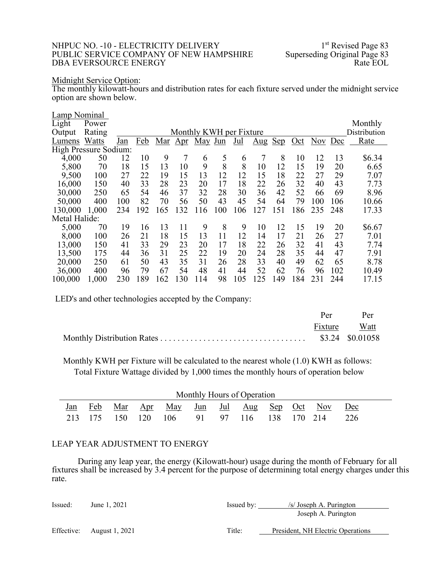## NHPUC NO. -10 - ELECTRICITY DELIVERY<br>PUBLIC SERVICE COMPANY OF NEW HAMPSHIRE Superseding Original Page 83 PUBLIC SERVICE COMPANY OF NEW HAMPSHIRE Superseding Original Page 83<br>DBA EVERSOURCE ENERGY Rate EOL DBA EVERSOURCE ENERGY

## Midnight Service Option:

The monthly kilowatt-hours and distribution rates for each fixture served under the midnight service option are shown below.

| Lamp Nominal          |        |     |     |     |     |                         |     |     |                                 |            |     |            |     |              |
|-----------------------|--------|-----|-----|-----|-----|-------------------------|-----|-----|---------------------------------|------------|-----|------------|-----|--------------|
| Light                 | Power  |     |     |     |     |                         |     |     |                                 |            |     |            |     | Monthly      |
| Output                | Rating |     |     |     |     | Monthly KWH per Fixture |     |     |                                 |            |     |            |     | Distribution |
| Lumens                | Watts  | Jan | Feb | Mar | Apr | May Jun                 |     | Jul | $\frac{\text{Aug}}{\text{Aug}}$ | <u>Sep</u> | Oct | <b>Nov</b> | Dec | Rate         |
| High Pressure Sodium: |        |     |     |     |     |                         |     |     |                                 |            |     |            |     |              |
| 4,000                 | 50     | 12  | 10  | 9   | 7   | 6                       | 5   | 6   | 7                               | 8          | 10  | 12         | 13  | \$6.34       |
| 5,800                 | 70     | 18  | 15  | 13  | 10  | 9                       | 8   | 8   | 10                              | 12         | 15  | 19         | 20  | 6.65         |
| 9,500                 | 100    | 27  | 22  | 19  | 15  | 13                      | 12  | 12  | 15                              | 18         | 22  | 27         | 29  | 7.07         |
| 16,000                | 150    | 40  | 33  | 28  | 23  | 20                      | 17  | 18  | 22                              | 26         | 32  | 40         | 43  | 7.73         |
| 30,000                | 250    | 65  | 54  | 46  | 37  | 32                      | 28  | 30  | 36                              | 42         | 52  | 66         | 69  | 8.96         |
| 50,000                | 400    | 100 | 82  | 70  | 56  | 50                      | 43  | 45  | 54                              | 64         | 79  | 100        | 106 | 10.66        |
| 130,000               | 1,000  | 234 | 192 | 165 | 132 | 116                     | 100 | 106 | 127                             | 151        | 186 | 235        | 248 | 17.33        |
| Metal Halide:         |        |     |     |     |     |                         |     |     |                                 |            |     |            |     |              |
| 5,000                 | 70     | 19  | 16  | 13  | 11  | 9                       | 8   | 9   | 10                              | 12         | 15  | 19         | 20  | \$6.67       |
| 8,000                 | 100    | 26  | 21  | 18  | 15  | 13                      | 11  | 12  | 14                              | 17         | 21  | 26         | 27  | 7.01         |
| 13,000                | 150    | 41  | 33  | 29  | 23  | 20                      | 17  | 18  | 22                              | 26         | 32  | 41         | 43  | 7.74         |
| 13,500                | 175    | 44  | 36  | 31  | 25  | 22                      | 19  | 20  | 24                              | 28         | 35  | 44         | 47  | 7.91         |
| 20,000                | 250    | 61  | 50  | 43  | 35  | 31                      | 26  | 28  | 33                              | 40         | 49  | 62         | 65  | 8.78         |
| 36,000                | 400    | 96  | 79  | 67  | 54  | 48                      | 41  | 44  | 52                              | 62         | 76  | 96         | 102 | 10.49        |
| 100,000               | 1,000  | 230 | 189 | 162 | 130 | 114                     | 98  | 105 | 125                             | 149        | 184 | 231        | 244 | 17.15        |

LED's and other technologies accepted by the Company:

|  | Per Per      |
|--|--------------|
|  | Fixture Watt |
|  |              |

Monthly KWH per Fixture will be calculated to the nearest whole (1.0) KWH as follows: Total Fixture Wattage divided by 1,000 times the monthly hours of operation below

| Monthly Hours of Operation |  |  |  |                                                        |  |  |  |  |  |  |  |
|----------------------------|--|--|--|--------------------------------------------------------|--|--|--|--|--|--|--|
|                            |  |  |  | <u>Jan Feb Mar Apr May Jun Jul Aug Sep Oct Nov Dec</u> |  |  |  |  |  |  |  |
|                            |  |  |  | 213 175 150 120 106 91 97 116 138 170 214 226          |  |  |  |  |  |  |  |

## LEAP YEAR ADJUSTMENT TO ENERGY

During any leap year, the energy (Kilowatt-hour) usage during the month of February for all fixtures shall be increased by 3.4 percent for the purpose of determining total energy charges under this rate.

| Issued:    | June 1, 2021   | Issued by: | $\sqrt{s}$ Joseph A. Purington<br>Joseph A. Purington |
|------------|----------------|------------|-------------------------------------------------------|
| Effective: | August 1, 2021 | Title:     | President, NH Electric Operations                     |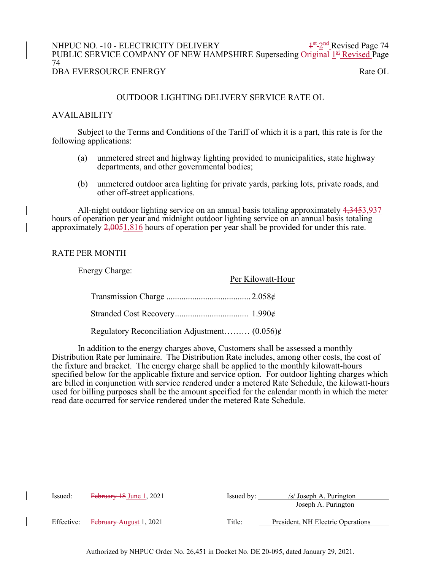## NHPUC NO. -10 - ELECTRICITY DELIVERY  $1^{st} - 2^{nd}$  Revised Page 74 PUBLIC SERVICE COMPANY OF NEW HAMPSHIRE Superseding Original 1st Revised Page 74 DBA EVERSOURCE ENERGY Rate OL  $+\frac{4}{2}$  Re<br>Original  $1^{\underline{\text{st}}}$

## OUTDOOR LIGHTING DELIVERY SERVICE RATE OL

## AVAILABILITY

 Subject to the Terms and Conditions of the Tariff of which it is a part, this rate is for the following applications:

- (a) unmetered street and highway lighting provided to municipalities, state highway departments, and other governmental bodies;
- (b) unmetered outdoor area lighting for private yards, parking lots, private roads, and other off-street applications.

All-night outdoor lighting service on an annual basis totaling approximately 4,3453,937 hours of operation per year and midnight outdoor lighting service on an annual basis totaling approximately 2,0051,816 hours of operation per year shall be provided for under this rate.

#### RATE PER MONTH

Energy Charge:

|                                                  | Per Kilowatt-Hour |
|--------------------------------------------------|-------------------|
|                                                  |                   |
|                                                  |                   |
| Regulatory Reconciliation Adjustment $(0.056)$ ¢ |                   |

 In addition to the energy charges above, Customers shall be assessed a monthly Distribution Rate per luminaire. The Distribution Rate includes, among other costs, the cost of the fixture and bracket. The energy charge shall be applied to the monthly kilowatt-hours specified below for the applicable fixture and service option. For outdoor lighting charges which are billed in conjunction with service rendered under a metered Rate Schedule, the kilowatt-hours used for billing purposes shall be the amount specified for the calendar month in which the meter read date occurred for service rendered under the metered Rate Schedule.

| Issued: | <b>February 18 June 1, 2021</b>    | Issued by: | $/s/$ Joseph A. Purington         |
|---------|------------------------------------|------------|-----------------------------------|
|         |                                    |            | Joseph A. Purington               |
|         | Effective: February-August 1, 2021 | Title:     | President, NH Electric Operations |
|         |                                    |            |                                   |

Authorized by NHPUC Order No. 26,451 in Docket No. DE 20-095, dated January 29, 2021.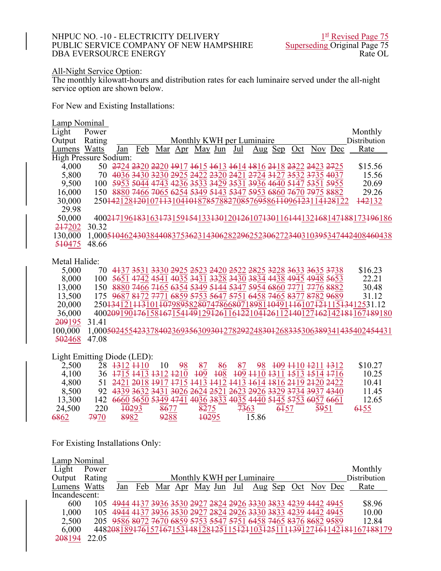## NHPUC NO. -10 - ELECTRICITY DELIVERY PUBLIC SERVICE COMPANY OF NEW HAMPSHIRE DBA EVERSOURCE ENERGY

## All-Night Service Option:

The monthly kilowatt-hours and distribution rates for each luminaire served under the all-night service option are shown below.

For New and Existing Installations:

| Lamp Nominal                |        |                                                                 |    |    |       |       |    |                                                             |  |                    |                                                             |                                                                                                                                                                                              |
|-----------------------------|--------|-----------------------------------------------------------------|----|----|-------|-------|----|-------------------------------------------------------------|--|--------------------|-------------------------------------------------------------|----------------------------------------------------------------------------------------------------------------------------------------------------------------------------------------------|
| Light                       | Power  |                                                                 |    |    |       |       |    |                                                             |  |                    |                                                             | Monthly                                                                                                                                                                                      |
| Output                      | Rating |                                                                 |    |    |       |       |    | Monthly KWH per Luminaire                                   |  |                    |                                                             | Distribution                                                                                                                                                                                 |
| Lumens Watts                |        | Jan                                                             |    |    |       |       |    |                                                             |  |                    | Feb Mar Apr May Jun Jul Aug Sep Oct Nov Dec                 | Rate                                                                                                                                                                                         |
| High Pressure Sodium:       |        |                                                                 |    |    |       |       |    |                                                             |  |                    |                                                             |                                                                                                                                                                                              |
| 4,000                       |        | 50 2724 2320 2220 1917 1615 1613 1614 1816 2118 2322 2423 2725  |    |    |       |       |    |                                                             |  |                    |                                                             | \$15.56                                                                                                                                                                                      |
| 5,800                       | 70     |                                                                 |    |    |       |       |    | 4036 3430 3230 2925 2422 2320 2421 2724 3127 3532 3735 4037 |  |                    |                                                             | 15.56                                                                                                                                                                                        |
| 9,500                       | 100    |                                                                 |    |    |       |       |    | 5953 5044 4743 4236 3533 3429 3531 3936 4640 5147 5351 5955 |  |                    |                                                             | 20.69                                                                                                                                                                                        |
| 16,000                      |        | 150 8880 7466 7065 6254 5349 5143 5347 5953 6860 7670 7975 8882 |    |    |       |       |    |                                                             |  |                    |                                                             | 29.26                                                                                                                                                                                        |
| 30,000                      |        |                                                                 |    |    |       |       |    |                                                             |  |                    | 25044212842010744310440487857882708576958644096423114428122 | 142132                                                                                                                                                                                       |
| 29.98                       |        |                                                                 |    |    |       |       |    |                                                             |  |                    |                                                             |                                                                                                                                                                                              |
| 50,000                      |        |                                                                 |    |    |       |       |    |                                                             |  |                    |                                                             | 400217196183163173159154133130120126107130116144132168147188173196186                                                                                                                        |
| 217202                      | 30.32  |                                                                 |    |    |       |       |    |                                                             |  |                    |                                                             |                                                                                                                                                                                              |
| 130,000                     |        |                                                                 |    |    |       |       |    |                                                             |  |                    |                                                             | 1,000 <del>5104624303</del> 84408375 <del>362</del> 314 <del>3062822962523062723403</del> 10395347442408460438                                                                               |
| 510475                      | 48.66  |                                                                 |    |    |       |       |    |                                                             |  |                    |                                                             |                                                                                                                                                                                              |
|                             |        |                                                                 |    |    |       |       |    |                                                             |  |                    |                                                             |                                                                                                                                                                                              |
| Metal Halide:               |        |                                                                 |    |    |       |       |    |                                                             |  |                    |                                                             |                                                                                                                                                                                              |
| 5,000                       | 70     |                                                                 |    |    |       |       |    | 4437 3531 3330 2925 2523 2420 2522 2825 3228 3633 3635 3738 |  |                    |                                                             | \$16.23                                                                                                                                                                                      |
| 8,000                       | 100    |                                                                 |    |    |       |       |    | 5651 4742 4541 4035 3431 3328 3430 3834 4438 4945 4948 5653 |  |                    |                                                             | 22.21                                                                                                                                                                                        |
| 13,000                      | 150    |                                                                 |    |    |       |       |    | 8880 7466 7465 6354 5349 5144 5347 5954 6860 7771 7776 8882 |  |                    |                                                             | 30.48                                                                                                                                                                                        |
| 13,500                      | 175    |                                                                 |    |    |       |       |    | 9687 8172 7771 6859 5753 5647 5751 6458 7465 8377 8782 9689 |  |                    |                                                             | 31.12                                                                                                                                                                                        |
| 20,000                      |        |                                                                 |    |    |       |       |    |                                                             |  |                    |                                                             | 25013412111310110798958280747866807189811049111610712111513412531.12                                                                                                                         |
| 36,000                      |        |                                                                 |    |    |       |       |    |                                                             |  |                    |                                                             | 400209190476158467154449129426116422104426112440127462142484167489180                                                                                                                        |
| 209195                      | 31.41  |                                                                 |    |    |       |       |    |                                                             |  |                    |                                                             |                                                                                                                                                                                              |
| 100,000                     |        |                                                                 |    |    |       |       |    |                                                             |  |                    |                                                             | 1,000 <del>502</del> 4554 <del>23</del> 378402369 <del>356</del> 309 <del>301</del> 278 <del>292</del> 248 <del>301</del> 268 <del>335</del> 306 <del>389</del> 3414 <del>35</del> 402454431 |
| 502468                      | 47.08  |                                                                 |    |    |       |       |    |                                                             |  |                    |                                                             |                                                                                                                                                                                              |
|                             |        |                                                                 |    |    |       |       |    |                                                             |  |                    |                                                             |                                                                                                                                                                                              |
| Light Emitting Diode (LED): |        |                                                                 |    |    |       |       |    |                                                             |  |                    |                                                             |                                                                                                                                                                                              |
| 2,500                       |        | 28 1312 110                                                     | 10 | 98 | 87    | 86    | 87 | 98                                                          |  | 109 1110 1211 1312 |                                                             | \$10.27                                                                                                                                                                                      |
| 4,100                       |        | 36 $\frac{1715}{1413}$ $\frac{1312}{1210}$                      |    |    | $+09$ | $+08$ |    | 109 1110 1311 1513 1514 1716                                |  |                    |                                                             | 10.25                                                                                                                                                                                        |

| 7.100  |      | υν ττιν ττιν τσι2 τzιν του του του ττιν τσι1 τσιν τσι <del>τ</del> ττιν |      |                  |       |      |                                                                | 10.2J |
|--------|------|-------------------------------------------------------------------------|------|------------------|-------|------|----------------------------------------------------------------|-------|
| 4.800  |      |                                                                         |      |                  |       |      | 51 2421 2018 1917 1715 1413 1412 1413 1614 1816 2119 2120 2422 | 10.41 |
| 8.500  |      |                                                                         |      |                  |       |      | 92 4339 3632 3431 3026 2624 2521 2623 2926 3329 3734 3937 4340 | 11.45 |
| 13,300 |      | 142 6660 5650 5349 4741 4036 3833 4035 4440 5145 5753 6057 6661         |      |                  |       |      |                                                                | 12.65 |
| 24,500 | 220  | <del>102</del> 93                                                       | 8677 | <del>82</del> 75 | 7363  | 6457 | <del>59</del> 51                                               | 6455  |
| 6862   | 7970 | 8982                                                                    | 9288 | +0295            | 15.86 |      |                                                                |       |

For Existing Installations Only:

| Lamp Nominal  |        |                                                                 |  |  |  |                                                        |  |  |                                                                       |
|---------------|--------|-----------------------------------------------------------------|--|--|--|--------------------------------------------------------|--|--|-----------------------------------------------------------------------|
| Light         | Power  |                                                                 |  |  |  |                                                        |  |  | Monthly                                                               |
| Output        | Rating |                                                                 |  |  |  | Monthly KWH per Luminaire                              |  |  | Distribution                                                          |
| Lumens Watts  |        |                                                                 |  |  |  | <u>Jan Feb Mar Apr May Jun Jul Aug Sep Oct Nov Dec</u> |  |  | Rate                                                                  |
| Incandescent: |        |                                                                 |  |  |  |                                                        |  |  |                                                                       |
| 600           |        | 105 4944 4137 3936 3530 2927 2824 2926 3330 3833 4239 4442 4945 |  |  |  |                                                        |  |  | \$8.96                                                                |
| 1,000         |        | 105 4944 4137 3936 3530 2927 2824 2926 3330 3833 4239 4442 4945 |  |  |  |                                                        |  |  | 10.00                                                                 |
| 2,500         |        | 205 9586 8072 7670 6859 5753 5547 5751 6458 7465 8376 8682 9589 |  |  |  |                                                        |  |  | 12.84                                                                 |
| 6,000         |        |                                                                 |  |  |  |                                                        |  |  | 448208189476157467153448128425115424103425111439127464142484167488179 |
| 208194        | 22.05  |                                                                 |  |  |  |                                                        |  |  |                                                                       |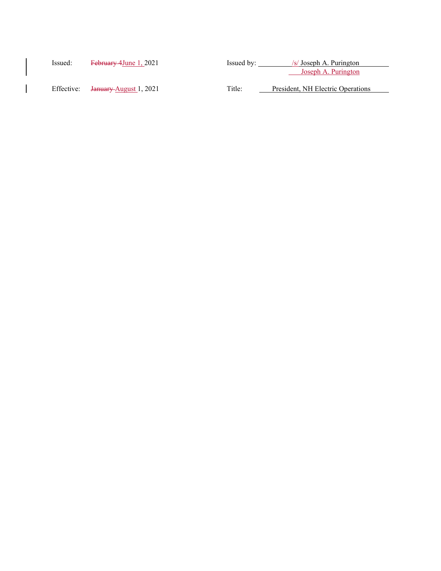| Issued:    | February 4June 1, 2021             | Issued by: | $\sqrt{s}$ Joseph A. Purington    |
|------------|------------------------------------|------------|-----------------------------------|
|            |                                    |            | Joseph A. Purington               |
|            |                                    |            |                                   |
| Effective: | <del>January A</del> ugust 1, 2021 | Title:     | President, NH Electric Operations |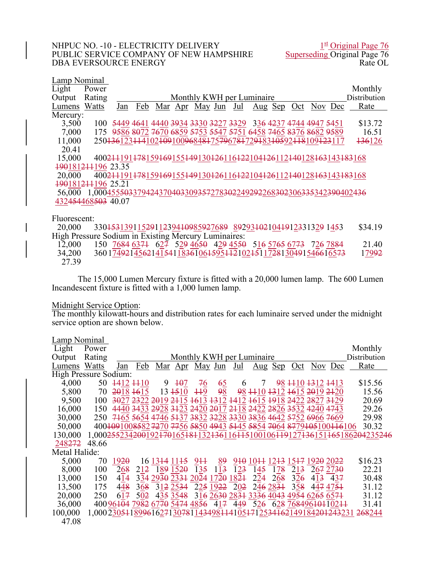#### NHPUC NO. -10 - ELECTRICITY DELIVERY<br>PUBLIC SERVICE COMPANY OF NEW HAMPSHIRE Superseding Original Page 76 PUBLIC SERVICE COMPANY OF NEW HAMPSHIRE Superseding Original Page 76<br>DBA EVERSOURCE ENERGY DBA EVERSOURCE ENERGY

Lamp Nominal Light Power Monthly Output Rating <u>Jan Feb Mar Apr May Jun Jul Aug Sep Oct Nov Dec</u> Rate Jan Feb Mar Apr May Jun Jul Aug Sep Oct Nov Dec Rate Mercury:<br> $3,500$ 3,500 100 5449 4641 4440 3934 3330 3227 3329 336 4237 4744 4947 5451 \$13.72<br>7,000 175 9586 8072 7670 6859 5753 5547 5751 6458 7465 8376 8682 9589 16.51  $7,000$  175  $95\overline{86}$   $80\overline{72}$   $74\overline{70}$   $68\overline{59}$   $57\overline{53}$   $55\overline{47}$   $57\overline{51}$   $64\overline{58}$   $74\overline{65}$   $83\overline{76}$   $86\overline{82}$   $95\overline{89}$  16.51<br>11,000 250<del>136</del>123114102<del>109</del>100968481757967817291831059211 250<del>136</del>1231141021091009684817579678172918310592118109123117 136126  $20.41$ <br>15,000 400 211 191 178 159 169 155 149 130 126 116 122 104 126 112 140 128 163 143 183 168 190181211196 23.35<br>20,000 400211191 20,000 400211191178159169155149130126116122104126112140128163143183168 190181211196 25.21 56,000 1,000455503379424370403309357278302249292268302306335342390402436 432454468503 40.07

# Fluorescent:<br>20,000

20,000 3301531391152911239410985927689 892931021041912331329 1453 \$34.19 High Pressure Sodium in Existing Mercury Luminaires:

12,000 150 7684 6371 627 529 4650 429 4550 516 5765 6773 726 7884 21.40<br>34,200 360 17492 14562 14154 1836 1061 5951 1210 215 11728 1304 9154 66 16573 1799 2 360 1749214562141541183610615951121021511728130491546616573 27.39

The 15,000 Lumen Mercury fixture is fitted with a 20,000 lumen lamp. The 600 Lumen Incandescent fixture is fitted with a 1,000 lumen lamp.

#### Midnight Service Option:

The monthly kilowatt-hours and distribution rates for each luminaire served under the midnight service option are shown below.

| Lamp Nominal          |                                                                |                                                           |     |                |                  |                         |          |      |                                                             |          |     |                   |                    |                                                                         |
|-----------------------|----------------------------------------------------------------|-----------------------------------------------------------|-----|----------------|------------------|-------------------------|----------|------|-------------------------------------------------------------|----------|-----|-------------------|--------------------|-------------------------------------------------------------------------|
| Light                 | Power                                                          |                                                           |     |                |                  |                         |          |      |                                                             |          |     |                   |                    | Monthly                                                                 |
| Output                | Rating                                                         |                                                           |     |                |                  |                         |          |      | Monthly KWH per Luminaire                                   |          |     |                   |                    | Distribution                                                            |
| Lumens                | Watts                                                          | Jan                                                       | Feb |                |                  | Mar Apr May Jun Jul     |          |      | Aug Sep                                                     |          | Oct |                   | Nov Dec            | Rate                                                                    |
| High Pressure Sodium: |                                                                |                                                           |     |                |                  |                         |          |      |                                                             |          |     |                   |                    |                                                                         |
| 4,000                 | 50                                                             | $\frac{1412}{110}$                                        |     | 9              | $\overline{407}$ | 76                      | 65       | 6    | 7                                                           |          |     | 98 4410 4312 4413 |                    | \$15.56                                                                 |
| 5,800                 | 70                                                             | 2018 1615                                                 |     |                | $13 + 510$       | #9                      | 98       |      | 98 1110 1312 1615 2019 2120                                 |          |     |                   |                    | 15.56                                                                   |
| 9,500                 | 100                                                            |                                                           |     |                |                  |                         |          |      | 3027 2322 2019 2115 1613 1312 1412 1615 1918 2422 2827 3129 |          |     |                   |                    | 20.69                                                                   |
| 16,000                | 150                                                            |                                                           |     |                |                  |                         |          |      | 4440 3433 2928 3123 2420 2017 2118 2422 2826 3532 4240 4743 |          |     |                   |                    | 29.26                                                                   |
| 30,000                | 250                                                            |                                                           |     |                |                  |                         |          |      | 7165 5654 4746 5137 3832 3228 3330 3836 4642 5752 6966 7669 |          |     |                   |                    | 29.98                                                                   |
| 50,000                |                                                                | 400109100858272707756585049435145585470648779105100116106 |     |                |                  |                         |          |      |                                                             |          |     |                   |                    | 30.32                                                                   |
| 130,000               |                                                                |                                                           |     |                |                  |                         |          |      |                                                             |          |     |                   |                    | 1,000255234200192170165181132136116115100106119127136151165186204235246 |
| 248 <del>272</del>    | 48.66                                                          |                                                           |     |                |                  |                         |          |      |                                                             |          |     |                   |                    |                                                                         |
| Metal Halide:         |                                                                |                                                           |     |                |                  |                         |          |      |                                                             |          |     |                   |                    |                                                                         |
| 5,000                 | 70                                                             | 1920                                                      |     | 16 13 14 11 15 |                  | $9 + 1$                 | 89       |      | 940 1044 1243 1547 1920 2022                                |          |     |                   |                    | \$16.23                                                                 |
| 8,000                 | 100                                                            | 268                                                       | 212 | 189 1520       |                  | 135                     | 113      | 123  | 145                                                         | 178      | 213 |                   | 267 2730           | 22.21                                                                   |
| 13,000                | 150                                                            | 414                                                       |     |                |                  | 334 2930 2331 2024 1720 |          | 1824 | 224                                                         | 268      | 326 | 413               | 437                | 30.48                                                                   |
| 13,500                | 175                                                            | 448                                                       | 368 |                | 312 2534         |                         | 225 1922 | 202  |                                                             | 246 2831 | 358 |                   | 4474754            | 31.12                                                                   |
| 20,000                | 250                                                            | 617                                                       | 502 |                | 435 3548         |                         |          |      | 316 2630 2831 3336 4043 4954 6265 6571                      |          |     |                   |                    | 31.12                                                                   |
| 36,000                |                                                                | 400 96 104 798 2 6770 5474 4856 417                       |     |                |                  |                         |          | 449  | 526                                                         |          |     |                   | 628 76849610110211 | 31.41                                                                   |
| 100,000               | 1,000230541899616271307811434984441054712534162149184201243231 |                                                           |     |                |                  |                         |          |      |                                                             |          |     |                   |                    | 268244                                                                  |
| 47.08                 |                                                                |                                                           |     |                |                  |                         |          |      |                                                             |          |     |                   |                    |                                                                         |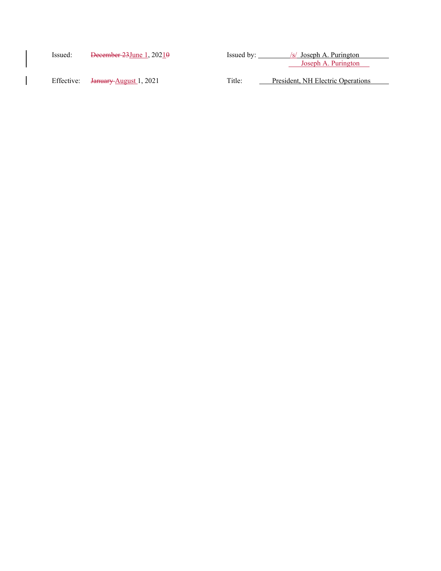| Issued: | December $23$ June 1, 2021 $\theta$          | Issued by: | $\sqrt{s}$ Joseph A. Purington    |
|---------|----------------------------------------------|------------|-----------------------------------|
|         |                                              |            | Joseph A. Purington               |
|         |                                              |            |                                   |
|         | Effective: <del>January August</del> 1, 2021 | Title:     | President, NH Electric Operations |

 $\mathbf{I}$ 

 $\overline{\phantom{a}}$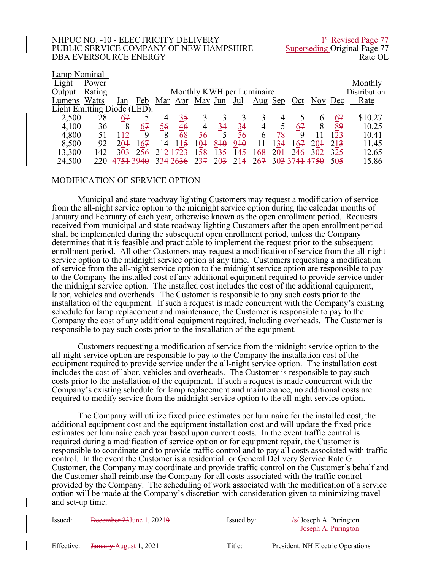NHPUC NO. -10 - ELECTRICITY DELIVERY<br>
PUBLIC SERVICE COMPANY OF NEW HAMPSHIRE Superseding Original Page 77 PUBLIC SERVICE COMPANY OF NEW HAMPSHIRE DBA EVERSOURCE ENERGY Rate OL

| Lamp Nominal                |        |                 |                                           |           |                      |     |                 |                 |                |     |               |                     |                 |         |
|-----------------------------|--------|-----------------|-------------------------------------------|-----------|----------------------|-----|-----------------|-----------------|----------------|-----|---------------|---------------------|-----------------|---------|
| Light                       | Power  |                 |                                           |           |                      |     |                 |                 |                |     |               |                     |                 | Monthly |
| Output                      | Rating |                 | Monthly KWH per Luminaire<br>Distribution |           |                      |     |                 |                 |                |     |               |                     |                 |         |
| Lumens                      | Watts  | Jan             | Feb                                       |           | Mar Apr May Jun Jul  |     |                 |                 |                |     |               | Aug Sep Oct Nov Dec |                 | Rate    |
| Light Emitting Diode (LED): |        |                 |                                           |           |                      |     |                 |                 |                |     |               |                     |                 |         |
| 2,500                       | 28     | 67              |                                           | 4         | 35                   | 3   |                 |                 | 3              | 4   |               | 6                   | 67              | \$10.27 |
| 4,100                       | 36     | 8               | 67                                        | <u>56</u> | $\overline{46}$      | 4   | 34              | <u>34</u>       | $\overline{4}$ |     | 67            | 8                   | 89              | 10.25   |
| 4,800                       | 51     | 112             | 9                                         | 8         | 68                   | 56  | 5               | 56              | 6              | 78  | 9             |                     | 12 <sup>3</sup> | 10.41   |
| 8,500                       | 92     | 204             | 167                                       | 14        | 115                  | 104 | 840             | 9 <sub>10</sub> | 11             | 134 | 167           | 204                 | 213             | 11.45   |
| 13,300                      | 142    | 30 <sup>3</sup> | 256                                       |           | 212 1723             | 158 | 135             | 145             | 168            | 204 | 246           | 302                 | 325             | 12.65   |
| 24,500                      | 220    | 4754 3940       |                                           |           | 334 26 <del>36</del> | 237 | 20 <sup>3</sup> | 214             | 267            |     | 303 3744 4750 |                     | 50 <sub>5</sub> | 15.86   |

## MODIFICATION OF SERVICE OPTION

Municipal and state roadway lighting Customers may request a modification of service from the all-night service option to the midnight service option during the calendar months of January and February of each year, otherwise known as the open enrollment period. Requests received from municipal and state roadway lighting Customers after the open enrollment period shall be implemented during the subsequent open enrollment period, unless the Company determines that it is feasible and practicable to implement the request prior to the subsequent enrollment period. All other Customers may request a modification of service from the all-night service option to the midnight service option at any time. Customers requesting a modification of service from the all-night service option to the midnight service option are responsible to pay to the Company the installed cost of any additional equipment required to provide service under the midnight service option. The installed cost includes the cost of the additional equipment, labor, vehicles and overheads. The Customer is responsible to pay such costs prior to the installation of the equipment. If such a request is made concurrent with the Company's existing schedule for lamp replacement and maintenance, the Customer is responsible to pay to the Company the cost of any additional equipment required, including overheads. The Customer is responsible to pay such costs prior to the installation of the equipment.

Customers requesting a modification of service from the midnight service option to the all-night service option are responsible to pay to the Company the installation cost of the equipment required to provide service under the all-night service option. The installation cost includes the cost of labor, vehicles and overheads. The Customer is responsible to pay such costs prior to the installation of the equipment. If such a request is made concurrent with the Company's existing schedule for lamp replacement and maintenance, no additional costs are required to modify service from the midnight service option to the all-night service option.

The Company will utilize fixed price estimates per luminaire for the installed cost, the additional equipment cost and the equipment installation cost and will update the fixed price estimates per luminaire each year based upon current costs. In the event traffic control is required during a modification of service option or for equipment repair, the Customer is responsible to coordinate and to provide traffic control and to pay all costs associated with traffic control. In the event the Customer is a residential or General Delivery Service Rate G Customer, the Company may coordinate and provide traffic control on the Customer's behalf and the Customer shall reimburse the Company for all costs associated with the traffic control provided by the Company. The scheduling of work associated with the modification of a service option will be made at the Company's discretion with consideration given to minimizing travel and set-up time.

| Issued: | December 23 June 1, 20210                    | Issued by: | $\sqrt{s}$ Joseph A. Purington    |
|---------|----------------------------------------------|------------|-----------------------------------|
|         |                                              |            | Joseph A. Purington               |
|         | Effective: <del>January August</del> 1, 2021 | Title:     | President, NH Electric Operations |
|         |                                              |            |                                   |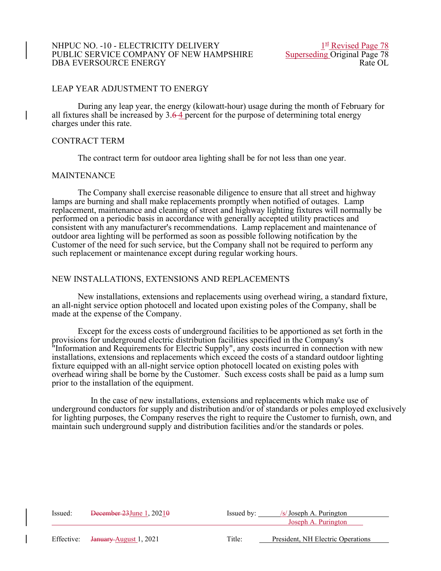#### NHPUC NO. -10 - ELECTRICITY DELIVERY<br>PUBLIC SERVICE COMPANY OF NEW HAMPSHIRE Superseding Original Page 78 PUBLIC SERVICE COMPANY OF NEW HAMPSHIRE Superseding Original Page 78<br>DBA EVERSOURCE ENERGY Rate OL DBA EVERSOURCE ENERGY

## LEAP YEAR ADJUSTMENT TO ENERGY

During any leap year, the energy (kilowatt-hour) usage during the month of February for all fixtures shall be increased by 3.6 4 percent for the purpose of determining total energy charges under this rate.

## CONTRACT TERM

The contract term for outdoor area lighting shall be for not less than one year.

#### MAINTENANCE

The Company shall exercise reasonable diligence to ensure that all street and highway lamps are burning and shall make replacements promptly when notified of outages. Lamp replacement, maintenance and cleaning of street and highway lighting fixtures will normally be performed on a periodic basis in accordance with generally accepted utility practices and consistent with any manufacturer's recommendations. Lamp replacement and maintenance of outdoor area lighting will be performed as soon as possible following notification by the Customer of the need for such service, but the Company shall not be required to perform any such replacement or maintenance except during regular working hours.

## NEW INSTALLATIONS, EXTENSIONS AND REPLACEMENTS

New installations, extensions and replacements using overhead wiring, a standard fixture, an all-night service option photocell and located upon existing poles of the Company, shall be made at the expense of the Company.

Except for the excess costs of underground facilities to be apportioned as set forth in the provisions for underground electric distribution facilities specified in the Company's "Information and Requirements for Electric Supply", any costs incurred in connection with new installations, extensions and replacements which exceed the costs of a standard outdoor lighting fixture equipped with an all-night service option photocell located on existing poles with overhead wiring shall be borne by the Customer. Such excess costs shall be paid as a lump sum prior to the installation of the equipment.

In the case of new installations, extensions and replacements which make use of underground conductors for supply and distribution and/or of standards or poles employed exclusively for lighting purposes, the Company reserves the right to require the Customer to furnish, own, and maintain such underground supply and distribution facilities and/or the standards or poles.

| Issued: | December 23 June 1, 20210                    | Issued by: | $\sqrt{s}$ Joseph A. Purington    |
|---------|----------------------------------------------|------------|-----------------------------------|
|         |                                              |            | Joseph A. Purington               |
|         | Effective: <del>January August</del> 1, 2021 | Title:     | President, NH Electric Operations |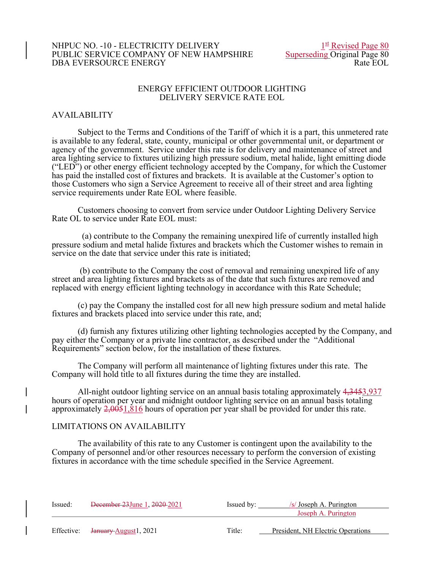### NHPUC NO. -10 - ELECTRICITY DELIVERY<br>PUBLIC SERVICE COMPANY OF NEW HAMPSHIRE Superseding Original Page 80 PUBLIC SERVICE COMPANY OF NEW HAMPSHIRE Superseding Original Page 80<br>DBA EVERSOURCE ENERGY Rate EOL DBA EVERSOURCE ENERGY

## ENERGY EFFICIENT OUTDOOR LIGHTING DELIVERY SERVICE RATE EOL

## AVAILABILITY

Subject to the Terms and Conditions of the Tariff of which it is a part, this unmetered rate is available to any federal, state, county, municipal or other governmental unit, or department or agency of the government. Service under this rate is for delivery and maintenance of street and area lighting service to fixtures utilizing high pressure sodium, metal halide, light emitting diode ("LED") or other energy efficient technology accepted by the Company, for which the Customer has paid the installed cost of fixtures and brackets. It is available at the Customer's option to those Customers who sign a Service Agreement to receive all of their street and area lighting service requirements under Rate EOL where feasible.

Customers choosing to convert from service under Outdoor Lighting Delivery Service Rate OL to service under Rate EOL must:

 (a) contribute to the Company the remaining unexpired life of currently installed high pressure sodium and metal halide fixtures and brackets which the Customer wishes to remain in service on the date that service under this rate is initiated;

(b) contribute to the Company the cost of removal and remaining unexpired life of any street and area lighting fixtures and brackets as of the date that such fixtures are removed and replaced with energy efficient lighting technology in accordance with this Rate Schedule;

(c) pay the Company the installed cost for all new high pressure sodium and metal halide fixtures and brackets placed into service under this rate, and;

(d) furnish any fixtures utilizing other lighting technologies accepted by the Company, and pay either the Company or a private line contractor, as described under the "Additional Requirements" section below, for the installation of these fixtures.

The Company will perform all maintenance of lighting fixtures under this rate. The Company will hold title to all fixtures during the time they are installed.

All-night outdoor lighting service on an annual basis totaling approximately 4,3453,937 hours of operation per year and midnight outdoor lighting service on an annual basis totaling approximately 2,0051,816 hours of operation per year shall be provided for under this rate.

## LIMITATIONS ON AVAILABILITY

The availability of this rate to any Customer is contingent upon the availability to the Company of personnel and/or other resources necessary to perform the conversion of existing fixtures in accordance with the time schedule specified in the Service Agreement.

| Issued: | December 23 June 1, 2020-2021                | Issued by: | $/s$ Joseph A. Purington          |
|---------|----------------------------------------------|------------|-----------------------------------|
|         |                                              |            | Joseph A. Purington               |
|         |                                              |            |                                   |
|         | Effective: <del>January August</del> 1, 2021 | Title:     | President, NH Electric Operations |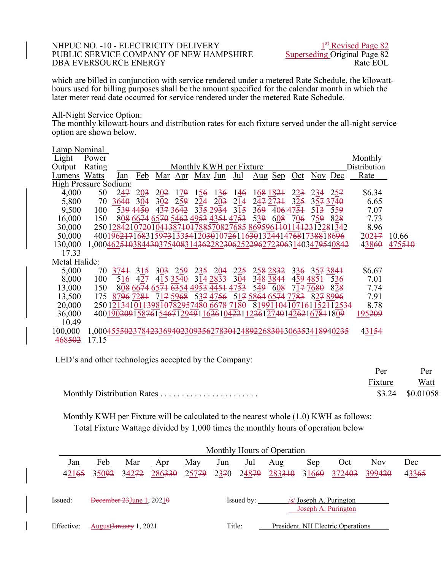#### NHPUC NO. -10 - ELECTRICITY DELIVERY<br>PUBLIC SERVICE COMPANY OF NEW HAMPSHIRE Superseding Original Page 82 PUBLIC SERVICE COMPANY OF NEW HAMPSHIRE Superseding Original Page 82<br>DBA EVERSOURCE ENERGY Rate EOL DBA EVERSOURCE ENERGY

which are billed in conjunction with service rendered under a metered Rate Schedule, the kilowatt-<br>hours used for billing purposes shall be the amount specified for the calendar month in which the later meter read date occurred for service rendered under the metered Rate Schedule.

## All-Night Service Option:

The monthly kilowatt-hours and distribution rates for each fixture served under the all-night service option are shown below.

| Lamp Nominal                                                                                                    |              |        |
|-----------------------------------------------------------------------------------------------------------------|--------------|--------|
| Light<br>Power                                                                                                  | Monthly      |        |
| Monthly KWH per Fixture<br>Rating<br>Output                                                                     | Distribution |        |
| Watts<br>Feb Mar Apr May Jun<br>Aug Sep Oct<br>Jan<br>Nov Dec<br>Lumens<br>Jul                                  | Rate         |        |
| High Pressure Sodium:                                                                                           |              |        |
| 4,000<br>20 <sup>3</sup><br>202<br>136<br>146<br>168 1824<br>50<br>247<br>179<br>156<br>223<br>234<br>257       | \$6.34       |        |
| 3640<br>$2\bar{5}9$<br>224<br>247 2731<br>304<br>302<br>20 <sup>3</sup><br>214<br>325<br>5,800<br>70<br>3573740 | 6.65         |        |
| $33529\overline{3}4$<br>539 4450<br>437 3642<br>315<br>369 406 4751<br>9,500<br>513 559<br>100                  | 7.07         |        |
| 16,000<br>808 6674 6570 5462 4953 4351 4753<br>608 706<br>539<br>828<br>150<br>759                              | 7.73         |        |
| 2501284210720104138710178857082768586959611011412312281342<br>30,000                                            | 8.96         |        |
| 4001962171683159731335412030107261163013244147681738818696<br>50,000                                            | 20247        | 10.66  |
| 1,00046251038443037540831436228230625229627230631403479540842<br>130,000                                        | 43860        | 475510 |
| 17.33                                                                                                           |              |        |
| Metal Halide:                                                                                                   |              |        |
| 258 2832<br>5,000<br>259<br>235<br>204<br>225<br>3744<br>315<br>30 <sup>3</sup><br>336<br>3573844<br>70         | \$6.67       |        |
| 4153540<br>314 28 33<br>427<br>304<br>348 3844<br>459 4851<br>8,000<br>100<br>536<br>516                        | 7.01         |        |
| 808 6674 6571 6354 4953 4451 4753<br>13,000<br>549 608<br>717 7680<br>828<br>150                                | 7.74         |        |
| 717 59 <del>68</del><br>5374756<br>517 5864 6574 7783<br>13,500<br>8796 7281<br>827 8996<br>175                 | 7.91         |        |
| 25012134101439840782957480 6678 7180 81991404107461152412534<br>20,000                                          | 8.78         |        |
| 4001902091587615467129491162610422112261274014262167811809<br>36,000                                            | 195209       |        |
| 10.49                                                                                                           |              |        |
| 100,000<br>1,00045550237842336940230935627830124892268301306353418940235                                        | 43154        |        |
| 17.15<br>468502                                                                                                 |              |        |

LED's and other technologies accepted by the Company:

|                            | Per     | Per                |
|----------------------------|---------|--------------------|
|                            | Fixture | <u>Watt</u>        |
| Monthly Distribution Rates |         | $$3.24$ $$0.01058$ |

Monthly KWH per Fixture will be calculated to the nearest whole (1.0) KWH as follows: Total Fixture Wattage divided by 1,000 times the monthly hours of operation below

| Monthly Hours of Operation |     |                                    |                                                 |                 |            |                                     |                     |            |                                   |        |       |  |
|----------------------------|-----|------------------------------------|-------------------------------------------------|-----------------|------------|-------------------------------------|---------------------|------------|-----------------------------------|--------|-------|--|
| <u>Jan</u>                 | Feb | Mar                                | <u>Apr</u>                                      | $\frac{May}{4}$ | <u>Jun</u> | <u>Jul</u>                          | $\Delta$ ug         | <b>Sep</b> | Oct                               | Nov    | Dec   |  |
| 42165                      |     | 35092 34272                        | 286 <del>330</del> 257 <del>79</del> 2370 24879 |                 |            |                                     | 283310 31660 372403 |            |                                   | 399420 | 43365 |  |
|                            |     |                                    |                                                 |                 |            |                                     |                     |            |                                   |        |       |  |
| Issued:                    |     | December $23$ June 1, $2021\theta$ |                                                 |                 |            | Issued by: $\overline{\phantom{a}}$ |                     |            | $\sqrt{s}$ Joseph A. Purington    |        |       |  |
|                            |     |                                    |                                                 |                 |            |                                     |                     |            | Joseph A. Purington               |        |       |  |
| Effective:                 |     | August <del>January</del> 1, 2021  |                                                 |                 | Title:     |                                     |                     |            | President, NH Electric Operations |        |       |  |